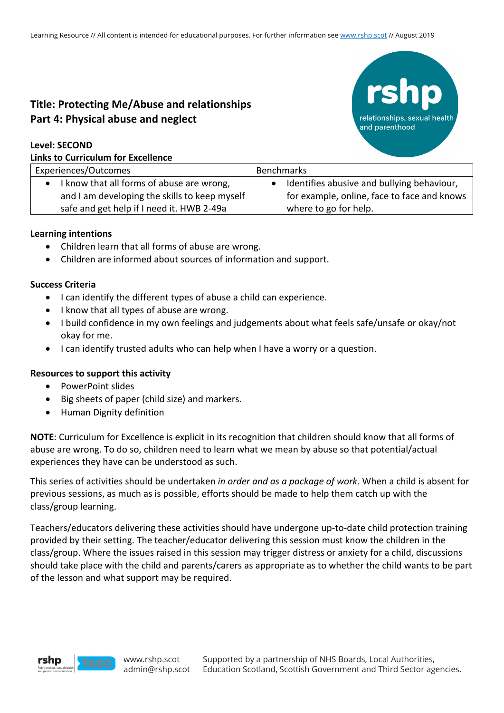# **Title: Protecting Me/Abuse and relationships Part 4: Physical abuse and neglect**

#### **Level: SECOND**

#### **Links to Curriculum for Excellence**



| Experiences/Outcomes                          | Benchmarks                                  |
|-----------------------------------------------|---------------------------------------------|
| I know that all forms of abuse are wrong,     | Identifies abusive and bullying behaviour,  |
| and I am developing the skills to keep myself | for example, online, face to face and knows |
| safe and get help if I need it. HWB 2-49a     | where to go for help.                       |
|                                               |                                             |

#### **Learning intentions**

- Children learn that all forms of abuse are wrong.
- Children are informed about sources of information and support.

#### **Success Criteria**

- I can identify the different types of abuse a child can experience.
- I know that all types of abuse are wrong.
- I build confidence in my own feelings and judgements about what feels safe/unsafe or okay/not okay for me.
- I can identify trusted adults who can help when I have a worry or a question.

#### **Resources to support this activity**

- PowerPoint slides
- Big sheets of paper (child size) and markers.
- Human Dignity definition

**NOTE**: Curriculum for Excellence is explicit in its recognition that children should know that all forms of abuse are wrong. To do so, children need to learn what we mean by abuse so that potential/actual experiences they have can be understood as such.

This series of activities should be undertaken *in order and as a package of work*. When a child is absent for previous sessions, as much as is possible, efforts should be made to help them catch up with the class/group learning.

Teachers/educators delivering these activities should have undergone up-to-date child protection training provided by their setting. The teacher/educator delivering this session must know the children in the class/group. Where the issues raised in this session may trigger distress or anxiety for a child, discussions should take place with the child and parents/carers as appropriate as to whether the child wants to be part of the lesson and what support may be required.

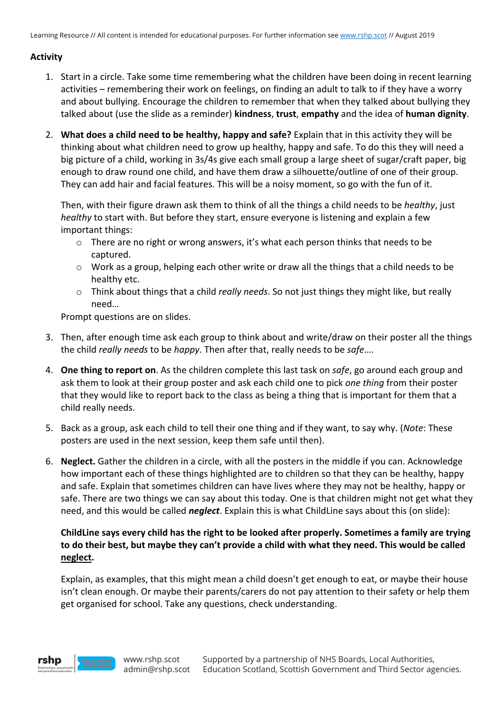## **Activity**

- 1. Start in a circle. Take some time remembering what the children have been doing in recent learning activities – remembering their work on feelings, on finding an adult to talk to if they have a worry and about bullying. Encourage the children to remember that when they talked about bullying they talked about (use the slide as a reminder) **kindness**, **trust**, **empathy** and the idea of **human dignity**.
- 2. **What does a child need to be healthy, happy and safe?** Explain that in this activity they will be thinking about what children need to grow up healthy, happy and safe. To do this they will need a big picture of a child, working in 3s/4s give each small group a large sheet of sugar/craft paper, big enough to draw round one child, and have them draw a silhouette/outline of one of their group. They can add hair and facial features. This will be a noisy moment, so go with the fun of it.

Then, with their figure drawn ask them to think of all the things a child needs to be *healthy*, just *healthy* to start with. But before they start, ensure everyone is listening and explain a few important things:

- $\circ$  There are no right or wrong answers, it's what each person thinks that needs to be captured.
- $\circ$  Work as a group, helping each other write or draw all the things that a child needs to be healthy etc.
- o Think about things that a child *really needs*. So not just things they might like, but really need…

Prompt questions are on slides.

- 3. Then, after enough time ask each group to think about and write/draw on their poster all the things the child *really needs* to be *happy*. Then after that, really needs to be *safe*….
- 4. **One thing to report on**. As the children complete this last task on *safe*, go around each group and ask them to look at their group poster and ask each child one to pick *one thing* from their poster that they would like to report back to the class as being a thing that is important for them that a child really needs.
- 5. Back as a group, ask each child to tell their one thing and if they want, to say why. (*Note*: These posters are used in the next session, keep them safe until then).
- 6. **Neglect.** Gather the children in a circle, with all the posters in the middle if you can. Acknowledge how important each of these things highlighted are to children so that they can be healthy, happy and safe. Explain that sometimes children can have lives where they may not be healthy, happy or safe. There are two things we can say about this today. One is that children might not get what they need, and this would be called *neglect*. Explain this is what ChildLine says about this (on slide):

## **ChildLine says every child has the right to be looked after properly. Sometimes a family are trying to do their best, but maybe they can't provide a child with what they need. This would be called neglect.**

Explain, as examples, that this might mean a child doesn't get enough to eat, or maybe their house isn't clean enough. Or maybe their parents/carers do not pay attention to their safety or help them get organised for school. Take any questions, check understanding.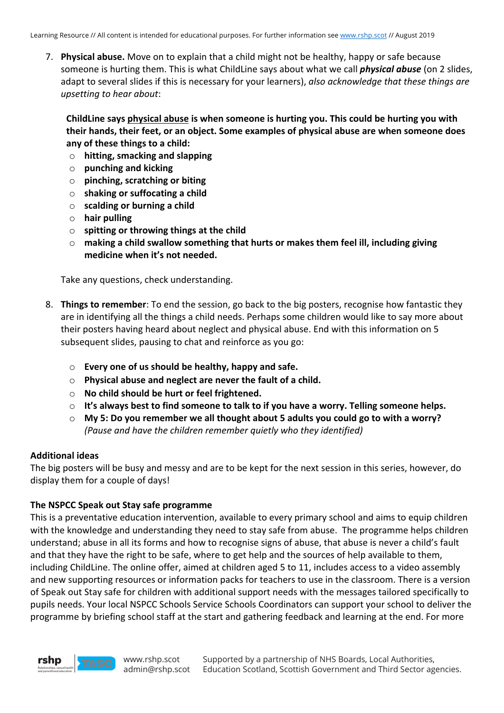7. **Physical abuse.** Move on to explain that a child might not be healthy, happy or safe because someone is hurting them. This is what ChildLine says about what we call *physical abuse* (on 2 slides, adapt to several slides if this is necessary for your learners), *also acknowledge that these things are upsetting to hear about*:

**ChildLine says physical abuse is when someone is hurting you. This could be hurting you with their hands, their feet, or an object. Some examples of physical abuse are when someone does any of these things to a child:**

- o **hitting, smacking and slapping**
- o **punching and kicking**
- o **pinching, scratching or biting**
- o **shaking or suffocating a child**
- o **scalding or burning a child**
- o **hair pulling**
- o **spitting or throwing things at the child**
- o **making a child swallow something that hurts or makes them feel ill, including giving medicine when it's not needed.**

Take any questions, check understanding.

- 8. **Things to remember**: To end the session, go back to the big posters, recognise how fantastic they are in identifying all the things a child needs. Perhaps some children would like to say more about their posters having heard about neglect and physical abuse. End with this information on 5 subsequent slides, pausing to chat and reinforce as you go:
	- o **Every one of us should be healthy, happy and safe.**
	- o **Physical abuse and neglect are never the fault of a child.**
	- o **No child should be hurt or feel frightened.**
	- o **It's always best to find someone to talk to if you have a worry. Telling someone helps.**
	- o **My 5: Do you remember we all thought about 5 adults you could go to with a worry?**  *(Pause and have the children remember quietly who they identified)*

#### **Additional ideas**

The big posters will be busy and messy and are to be kept for the next session in this series, however, do display them for a couple of days!

#### **The NSPCC Speak out Stay safe programme**

This is a preventative education intervention, available to every primary school and aims to equip children with the knowledge and understanding they need to stay safe from abuse. The programme helps children understand; abuse in all its forms and how to recognise signs of abuse, that abuse is never a child's fault and that they have the right to be safe, where to get help and the sources of help available to them, including ChildLine. The online offer, aimed at children aged 5 to 11, includes access to a video assembly and new supporting resources or information packs for teachers to use in the classroom. There is a version of Speak out Stay safe for children with additional support needs with the messages tailored specifically to pupils needs. Your local NSPCC Schools Service Schools Coordinators can support your school to deliver the programme by briefing school staff at the start and gathering feedback and learning at the end. For more



www.rshp.scot admin@rshp.scot